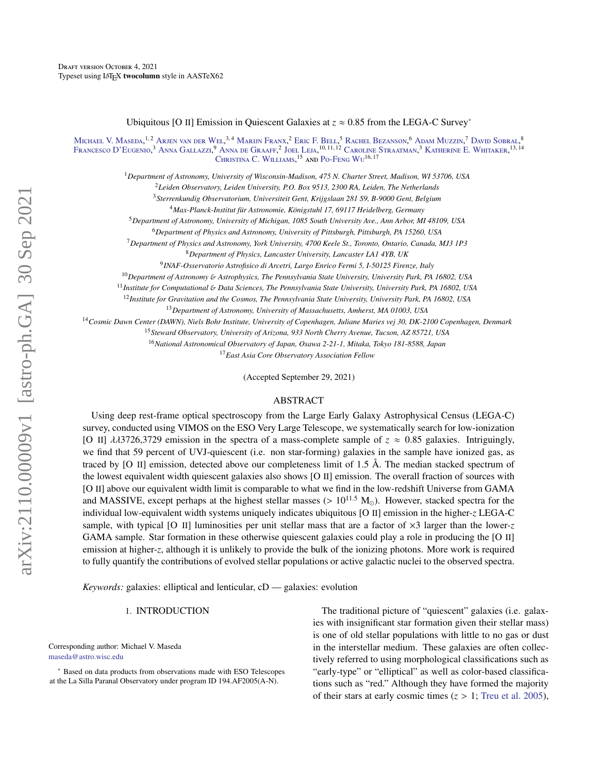Ubiquitous [O II] Emission in Quiescent Galaxies at *<sup>z</sup>* <sup>≈</sup> <sup>0</sup>.85 from the LEGA-C Survey[∗](#page-0-0)

M[ichael](http://orcid.org/0000-0003-0695-4414) V. Maseda,<sup>1,2</sup> A[rjen van der](http://orcid.org/0000-0002-5027-0135) Wel,<sup>3,4</sup> M[arijn](http://orcid.org/0000-0002-8871-3026) Franx,<sup>2</sup> Eric [F. B](http://orcid.org/0000-0002-5564-9873)ell,<sup>5</sup> Rachel B[ezanson](http://orcid.org/0000-0001-5063-8254),<sup>6</sup> Adam M[uzzin](http://orcid.org/0000-0002-9330-9108),<sup>7</sup> David S[obral](http://orcid.org/0000-0001-8823-4845),<sup>8</sup> F[rancesco](http://orcid.org/0000-0003-2388-8172) D'Eugenio,<sup>3</sup> Anna G[allazzi](http://orcid.org/0000-0002-9656-1800),<sup>9</sup> A[nna de](http://orcid.org/0000-0002-2380-9801) Graaff,<sup>2</sup> J[oel](http://orcid.org/0000-0001-6755-1315) Leja,<sup>10,11,12</sup> Caroline S[traatman](http://orcid.org/0000-0001-5937-4590),<sup>3</sup> K[atherine](http://orcid.org/0000-0001-7160-3632) E. Whitaker,<sup>13,14</sup> CHRISTINA C. WILLIAMS, <sup>15</sup> AND PO-FENG WU<sup>16, 17</sup>

<sup>1</sup>*Department of Astronomy, University of Wisconsin-Madison, 475 N. Charter Street, Madison, WI 53706, USA*

<sup>2</sup>*Leiden Observatory, Leiden University, P.O. Box 9513, 2300 RA, Leiden, The Netherlands*

<sup>3</sup>*Sterrenkundig Observatorium, Universiteit Gent, Krijgslaan 281 S9, B-9000 Gent, Belgium*

<sup>4</sup> Max-Planck-Institut für Astronomie, Königstuhl 17, 69117 Heidelberg, Germany

<sup>5</sup>*Department of Astronomy, University of Michigan, 1085 South University Ave., Ann Arbor, MI 48109, USA*

<sup>6</sup>*Department of Physics and Astronomy, University of Pittsburgh, Pittsburgh, PA 15260, USA*

<sup>7</sup>*Department of Physics and Astronomy, York University, 4700 Keele St., Toronto, Ontario, Canada, MJ3 1P3*

<sup>8</sup>*Department of Physics, Lancaster University, Lancaster LA1 4YB, UK*

9 *INAF-Osservatorio Astrofisico di Arcetri, Largo Enrico Fermi 5, I-50125 Firenze, Italy*

<sup>10</sup>*Department of Astronomy* & *Astrophysics, The Pennsylvania State University, University Park, PA 16802, USA*

<sup>11</sup>*Institute for Computational* & *Data Sciences, The Pennsylvania State University, University Park, PA 16802, USA*

<sup>12</sup>*Institute for Gravitation and the Cosmos, The Pennsylvania State University, University Park, PA 16802, USA*

<sup>13</sup>*Department of Astronomy, University of Massachusetts, Amherst, MA 01003, USA*

<sup>14</sup>*Cosmic Dawn Center (DAWN), Niels Bohr Institute, University of Copenhagen, Juliane Maries vej 30, DK-2100 Copenhagen, Denmark*

<sup>15</sup>*Steward Observatory, University of Arizona, 933 North Cherry Avenue, Tucson, AZ 85721, USA*

<sup>16</sup>*National Astronomical Observatory of Japan, Osawa 2-21-1, Mitaka, Tokyo 181-8588, Japan*

<sup>17</sup>*East Asia Core Observatory Association Fellow*

(Accepted September 29, 2021)

### ABSTRACT

Using deep rest-frame optical spectroscopy from the Large Early Galaxy Astrophysical Census (LEGA-C) survey, conducted using VIMOS on the ESO Very Large Telescope, we systematically search for low-ionization [O II]  $\lambda\lambda$ 3726,3729 emission in the spectra of a mass-complete sample of  $z \approx 0.85$  galaxies. Intriguingly, we find that 59 percent of UVJ-quiescent (i.e. non star-forming) galaxies in the sample have ionized gas, as traced by [O II] emission, detected above our completeness limit of 1.5 Å. The median stacked spectrum of the lowest equivalent width quiescent galaxies also shows [O II] emission. The overall fraction of sources with [O II] above our equivalent width limit is comparable to what we find in the low-redshift Universe from GAMA and MASSIVE, except perhaps at the highest stellar masses ( $> 10^{11.5}$  M<sub>o</sub>). However, stacked spectra for the individual low-equivalent width systems uniquely indicates ubiquitous [O II] emission in the higher-*z* LEGA-C sample, with typical [O II] luminosities per unit stellar mass that are a factor of  $\times$ 3 larger than the lower-*z* GAMA sample. Star formation in these otherwise quiescent galaxies could play a role in producing the [O II] emission at higher-*z*, although it is unlikely to provide the bulk of the ionizing photons. More work is required to fully quantify the contributions of evolved stellar populations or active galactic nuclei to the observed spectra.

*Keywords:* galaxies: elliptical and lenticular, cD — galaxies: evolution

## 1. INTRODUCTION

Corresponding author: Michael V. Maseda [maseda@astro.wisc.edu](mailto: maseda@astro.wisc.edu)

<span id="page-0-0"></span><sup>∗</sup> Based on data products from observations made with ESO Telescopes at the La Silla Paranal Observatory under program ID 194.AF2005(A-N).

The traditional picture of "quiescent" galaxies (i.e. galaxies with insignificant star formation given their stellar mass) is one of old stellar populations with little to no gas or dust in the interstellar medium. These galaxies are often collectively referred to using morphological classifications such as "early-type" or "elliptical" as well as color-based classifications such as "red." Although they have formed the majority of their stars at early cosmic times  $(z > 1$ ; [Treu et al.](#page-15-0) [2005\)](#page-15-0),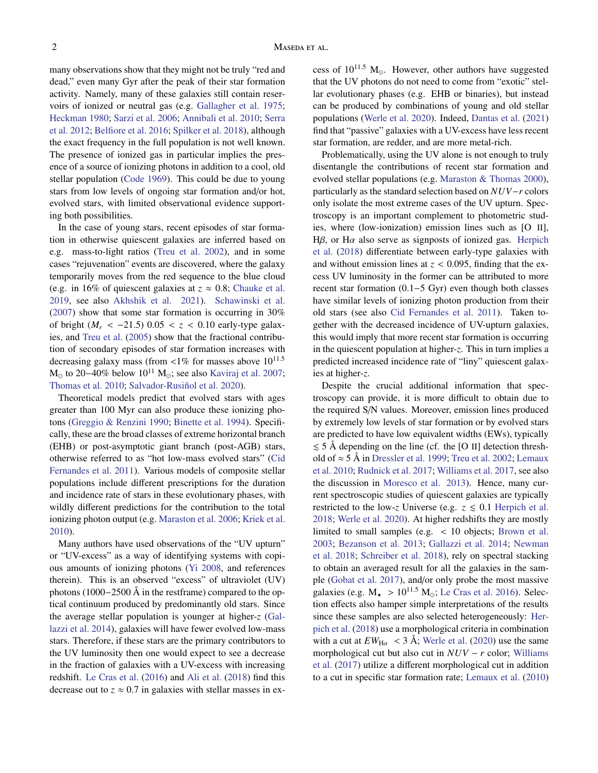many observations show that they might not be truly "red and dead," even many Gyr after the peak of their star formation activity. Namely, many of these galaxies still contain reservoirs of ionized or neutral gas (e.g. [Gallagher et al.](#page-14-0) [1975;](#page-14-0) [Heckman](#page-14-1) [1980;](#page-14-1) [Sarzi et al.](#page-14-2) [2006;](#page-14-2) [Annibali et al.](#page-13-0) [2010;](#page-13-0) [Serra](#page-14-3) [et al.](#page-14-3) [2012;](#page-14-3) [Belfiore et al.](#page-13-1) [2016;](#page-13-1) [Spilker et al.](#page-15-1) [2018\)](#page-15-1), although the exact frequency in the full population is not well known. The presence of ionized gas in particular implies the presence of a source of ionizing photons in addition to a cool, old stellar population [\(Code](#page-14-4) [1969\)](#page-14-4). This could be due to young stars from low levels of ongoing star formation and/or hot, evolved stars, with limited observational evidence supporting both possibilities.

In the case of young stars, recent episodes of star formation in otherwise quiescent galaxies are inferred based on e.g. mass-to-light ratios [\(Treu et al.](#page-15-2) [2002\)](#page-15-2), and in some cases "rejuvenation" events are discovered, where the galaxy temporarily moves from the red sequence to the blue cloud (e.g. in 16% of quiescent galaxies at  $z \approx 0.8$ ; [Chauke et al.](#page-14-5) [2019,](#page-14-5) see also [Akhshik et al.](#page-13-2) [2021\)](#page-13-2). [Schawinski et al.](#page-14-6) [\(2007\)](#page-14-6) show that some star formation is occurring in 30% of bright ( $M_r$  < −21.5) 0.05 < *z* < 0.10 early-type galaxies, and [Treu et al.](#page-15-0) [\(2005\)](#page-15-0) show that the fractional contribution of secondary episodes of star formation increases with decreasing galaxy mass (from  $\langle 1\%$  for masses above  $10^{11.5}$  $M<sub>o</sub>$  to 20–40% below 10<sup>11</sup> M<sub>o</sub>; see also [Kaviraj et al.](#page-14-7) [2007;](#page-14-7) [Thomas et al.](#page-15-3) [2010;](#page-15-3) Salvador-Rusiñol et al. [2020\)](#page-14-8).

Theoretical models predict that evolved stars with ages greater than 100 Myr can also produce these ionizing photons [\(Greggio & Renzini](#page-14-9) [1990;](#page-14-9) [Binette et al.](#page-13-3) [1994\)](#page-13-3). Specifically, these are the broad classes of extreme horizontal branch (EHB) or post-asymptotic giant branch (post-AGB) stars, otherwise referred to as "hot low-mass evolved stars" [\(Cid](#page-14-10) [Fernandes et al.](#page-14-10) [2011\)](#page-14-10). Various models of composite stellar populations include different prescriptions for the duration and incidence rate of stars in these evolutionary phases, with wildly different predictions for the contribution to the total ionizing photon output (e.g. [Maraston et al.](#page-14-11) [2006;](#page-14-11) [Kriek et al.](#page-14-12) [2010\)](#page-14-12).

Many authors have used observations of the "UV upturn" or "UV-excess" as a way of identifying systems with copious amounts of ionizing photons [\(Yi](#page-15-4) [2008,](#page-15-4) and references therein). This is an observed "excess" of ultraviolet (UV) photons (1000−2500 Å in the restframe) compared to the optical continuum produced by predominantly old stars. Since the average stellar population is younger at higher-*z* [\(Gal](#page-14-13)[lazzi et al.](#page-14-13) [2014\)](#page-14-13), galaxies will have fewer evolved low-mass stars. Therefore, if these stars are the primary contributors to the UV luminosity then one would expect to see a decrease in the fraction of galaxies with a UV-excess with increasing redshift. [Le Cras et al.](#page-14-14) [\(2016\)](#page-14-14) and [Ali et al.](#page-13-4) [\(2018\)](#page-13-4) find this decrease out to  $z \approx 0.7$  in galaxies with stellar masses in excess of  $10^{11.5}$  M<sub>o</sub>. However, other authors have suggested that the UV photons do not need to come from "exotic" stellar evolutionary phases (e.g. EHB or binaries), but instead can be produced by combinations of young and old stellar populations [\(Werle et al.](#page-15-5) [2020\)](#page-15-5). Indeed, [Dantas et al.](#page-14-15) [\(2021\)](#page-14-15) find that "passive" galaxies with a UV-excess have less recent star formation, are redder, and are more metal-rich.

Problematically, using the UV alone is not enough to truly disentangle the contributions of recent star formation and evolved stellar populations (e.g. [Maraston & Thomas](#page-14-16) [2000\)](#page-14-16), particularly as the standard selection based on *NUV*−*r* colors only isolate the most extreme cases of the UV upturn. Spectroscopy is an important complement to photometric studies, where (low-ionization) emission lines such as [O II], H $\beta$ , or H $\alpha$  also serve as signposts of ionized gas. [Herpich](#page-14-17) [et al.](#page-14-17) [\(2018\)](#page-14-17) differentiate between early-type galaxies with and without emission lines at  $z < 0.095$ , finding that the excess UV luminosity in the former can be attributed to more recent star formation (0.1−5 Gyr) even though both classes have similar levels of ionizing photon production from their old stars (see also [Cid Fernandes et al.](#page-14-10) [2011\)](#page-14-10). Taken together with the decreased incidence of UV-upturn galaxies, this would imply that more recent star formation is occurring in the quiescent population at higher-*z*. This in turn implies a predicted increased incidence rate of "liny" quiescent galaxies at higher-*z*.

Despite the crucial additional information that spectroscopy can provide, it is more difficult to obtain due to the required S/N values. Moreover, emission lines produced by extremely low levels of star formation or by evolved stars are predicted to have low equivalent widths (EWs), typically  $\leq$  5 Å depending on the line (cf. the [O II] detection threshold of  $\approx$  5 Å in [Dressler et al.](#page-14-18) [1999;](#page-14-18) [Treu et al.](#page-15-2) [2002;](#page-15-2) [Lemaux](#page-14-19) [et al.](#page-14-19) [2010;](#page-14-19) [Rudnick et al.](#page-14-20) [2017;](#page-14-20) [Williams et al.](#page-15-6) [2017,](#page-15-6) see also the discussion in [Moresco et al.](#page-14-21) [2013\)](#page-14-21). Hence, many current spectroscopic studies of quiescent galaxies are typically restricted to the low-*z* Universe (e.g.  $z \le 0.1$  [Herpich et al.](#page-14-17) [2018;](#page-14-17) [Werle et al.](#page-15-5) [2020\)](#page-15-5). At higher redshifts they are mostly limited to small samples (e.g. < 10 objects; [Brown et al.](#page-14-22) [2003;](#page-14-22) [Bezanson et al.](#page-13-5) [2013;](#page-13-5) [Gallazzi et al.](#page-14-13) [2014;](#page-14-13) [Newman](#page-14-23) [et al.](#page-14-23) [2018;](#page-14-23) [Schreiber et al.](#page-14-24) [2018\)](#page-14-24), rely on spectral stacking to obtain an averaged result for all the galaxies in the sample [\(Gobat et al.](#page-14-25) [2017\)](#page-14-25), and/or only probe the most massive galaxies (e.g.  $M_{\star} > 10^{11.5}$  M<sub>o</sub>; [Le Cras et al.](#page-14-14) [2016\)](#page-14-14). Selection effects also hamper simple interpretations of the results since these samples are also selected heterogeneously: [Her](#page-14-17)[pich et al.](#page-14-17) [\(2018\)](#page-14-17) use a morphological criteria in combination with a cut at  $EW_{\text{H}\alpha}$  < 3 Å; [Werle et al.](#page-15-5) [\(2020\)](#page-15-5) use the same morphological cut but also cut in *NUV* − *r* color; [Williams](#page-15-6) [et al.](#page-15-6) [\(2017\)](#page-15-6) utilize a different morphological cut in addition to a cut in specific star formation rate; [Lemaux et al.](#page-14-19) [\(2010\)](#page-14-19)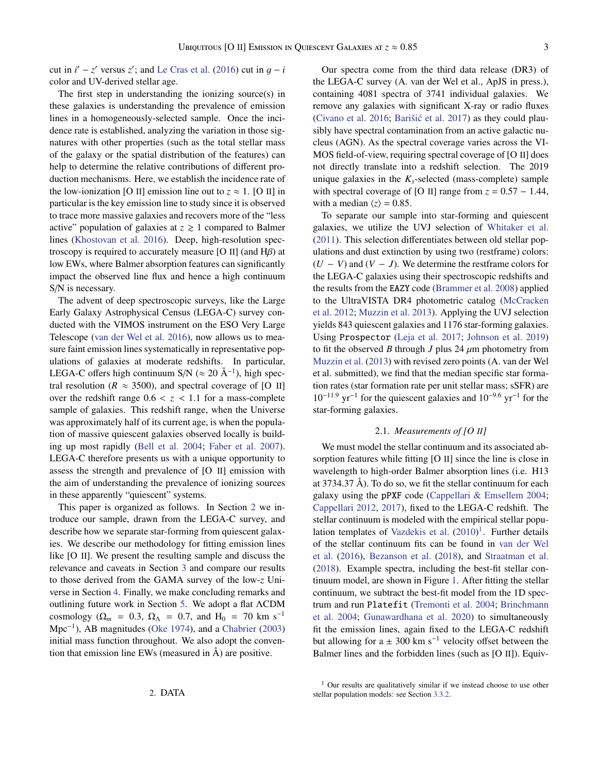cut in  $i' - z'$  versus  $z'$ ; and [Le Cras et al.](#page-14-14) [\(2016\)](#page-14-14) cut in  $g - i$ <br>color and IIV derived stellar age color and UV-derived stellar age.

The first step in understanding the ionizing source(s) in these galaxies is understanding the prevalence of emission lines in a homogeneously-selected sample. Once the incidence rate is established, analyzing the variation in those signatures with other properties (such as the total stellar mass of the galaxy or the spatial distribution of the features) can help to determine the relative contributions of different production mechanisms. Here, we establish the incidence rate of the low-ionization [O II] emission line out to  $z \approx 1$ . [O II] in particular is the key emission line to study since it is observed to trace more massive galaxies and recovers more of the "less active" population of galaxies at  $z \geq 1$  compared to Balmer lines [\(Khostovan et al.](#page-14-26) [2016\)](#page-14-26). Deep, high-resolution spectroscopy is required to accurately measure [O II] (and  $H\beta$ ) at low EWs, where Balmer absorption features can significantly impact the observed line flux and hence a high continuum S/N is necessary.

The advent of deep spectroscopic surveys, like the Large Early Galaxy Astrophysical Census (LEGA-C) survey conducted with the VIMOS instrument on the ESO Very Large Telescope [\(van der Wel et al.](#page-15-7) [2016\)](#page-15-7), now allows us to measure faint emission lines systematically in representative populations of galaxies at moderate redshifts. In particular, LEGA-C offers high continuum S/N ( $\approx 20 \text{ Å}^{-1}$ ), high spectral resolution ( $R \approx 3500$ ), and spectral coverage of [O II] over the redshift range  $0.6 < z < 1.1$  for a mass-complete sample of galaxies. This redshift range, when the Universe was approximately half of its current age, is when the population of massive quiescent galaxies observed locally is building up most rapidly [\(Bell et al.](#page-13-6) [2004;](#page-13-6) [Faber et al.](#page-14-27) [2007\)](#page-14-27). LEGA-C therefore presents us with a unique opportunity to assess the strength and prevalence of [O II] emission with the aim of understanding the prevalence of ionizing sources in these apparently "quiescent" systems.

<span id="page-2-0"></span>This paper is organized as follows. In Section [2](#page-2-0) we introduce our sample, drawn from the LEGA-C survey, and describe how we separate star-forming from quiescent galaxies. We describe our methodology for fitting emission lines like [O II]. We present the resulting sample and discuss the relevance and caveats in Section [3](#page-3-0) and compare our results to those derived from the GAMA survey of the low-*z* Universe in Section [4.](#page-8-0) Finally, we make concluding remarks and outlining future work in Section [5.](#page-12-0) We adopt a flat ΛCDM cosmology ( $\Omega_m$  = 0.3,  $\Omega_{\Lambda}$  = 0.7, and H<sub>0</sub> = 70 km s<sup>-1</sup> Mpc<sup>−</sup><sup>1</sup> ), AB magnitudes [\(Oke](#page-14-28) [1974\)](#page-14-28), and a [Chabrier](#page-14-29) [\(2003\)](#page-14-29) initial mass function throughout. We also adopt the convention that emission line EWs (measured in Å) are positive.

Our spectra come from the third data release (DR3) of the LEGA-C survey (A. van der Wel et al., ApJS in press.), containing 4081 spectra of 3741 individual galaxies. We remove any galaxies with significant X-ray or radio fluxes [\(Civano et al.](#page-14-30)  $2016$ ; Barišić et al.  $2017$ ) as they could plausibly have spectral contamination from an active galactic nucleus (AGN). As the spectral coverage varies across the VI-MOS field-of-view, requiring spectral coverage of [O II] does not directly translate into a redshift selection. The 2019 unique galaxies in the  $K_s$ -selected (mass-complete) sample with spectral coverage of [O II] range from  $z = 0.57 - 1.44$ , with a median  $\langle z \rangle = 0.85$ .

To separate our sample into star-forming and quiescent galaxies, we utilize the UVJ selection of [Whitaker et al.](#page-15-8) [\(2011\)](#page-15-8). This selection differentiates between old stellar populations and dust extinction by using two (restframe) colors:  $(U - V)$  and  $(V - J)$ . We determine the restframe colors for the LEGA-C galaxies using their spectroscopic redshifts and the results from the EAZY code [\(Brammer et al.](#page-13-8) [2008\)](#page-13-8) applied to the UltraVISTA DR4 photometric catalog [\(McCracken](#page-14-31) [et al.](#page-14-31) [2012;](#page-14-31) [Muzzin et al.](#page-14-32) [2013\)](#page-14-32). Applying the UVJ selection yields 843 quiescent galaxies and 1176 star-forming galaxies. Using Prospector [\(Leja et al.](#page-14-33) [2017;](#page-14-33) [Johnson et al.](#page-14-34) [2019\)](#page-14-34) to fit the observed *B* through *J* plus 24  $\mu$ m photometry from [Muzzin et al.](#page-14-32) [\(2013\)](#page-14-32) with revised zero points (A. van der Wel et al. submitted), we find that the median specific star formation rates (star formation rate per unit stellar mass; sSFR) are 10<sup>−</sup>11.<sup>9</sup> yr<sup>−</sup><sup>1</sup> for the quiescent galaxies and 10<sup>−</sup>9.<sup>6</sup> yr<sup>−</sup><sup>1</sup> for the star-forming galaxies.

### 2.1. *Measurements of [O II]*

<span id="page-2-2"></span>We must model the stellar continuum and its associated absorption features while fitting [O II] since the line is close in wavelength to high-order Balmer absorption lines (i.e. H13 at 3734.37 Å). To do so, we fit the stellar continuum for each galaxy using the pPXF code [\(Cappellari & Emsellem](#page-14-35) [2004;](#page-14-35) [Cappellari](#page-14-36) [2012,](#page-14-36) [2017\)](#page-14-37), fixed to the LEGA-C redshift. The stellar continuum is modeled with the empirical stellar popu-lation templates of [Vazdekis et al.](#page-15-9)  $(2010)^1$  $(2010)^1$  $(2010)^1$ . Further details of the stellar continuum fits can be found in [van der Wel](#page-15-7) [et al.](#page-15-7) [\(2016\)](#page-15-7), [Bezanson et al.](#page-13-9) [\(2018\)](#page-13-9), and [Straatman et al.](#page-15-10) [\(2018\)](#page-15-10). Example spectra, including the best-fit stellar continuum model, are shown in Figure [1.](#page-3-1) After fitting the stellar continuum, we subtract the best-fit model from the 1D spectrum and run Platefit [\(Tremonti et al.](#page-15-11) [2004;](#page-15-11) [Brinchmann](#page-14-38) [et al.](#page-14-38) [2004;](#page-14-38) [Gunawardhana et al.](#page-14-39) [2020\)](#page-14-39) to simultaneously fit the emission lines, again fixed to the LEGA-C redshift but allowing for a  $\pm$  300 km s<sup>-1</sup> velocity offset between the Balmer lines and the forbidden lines (such as [O II]). Equiv-

<span id="page-2-1"></span> $1$  Our results are qualitatively similar if we instead choose to use other stellar population models: see Section [3.3.2.](#page-7-0)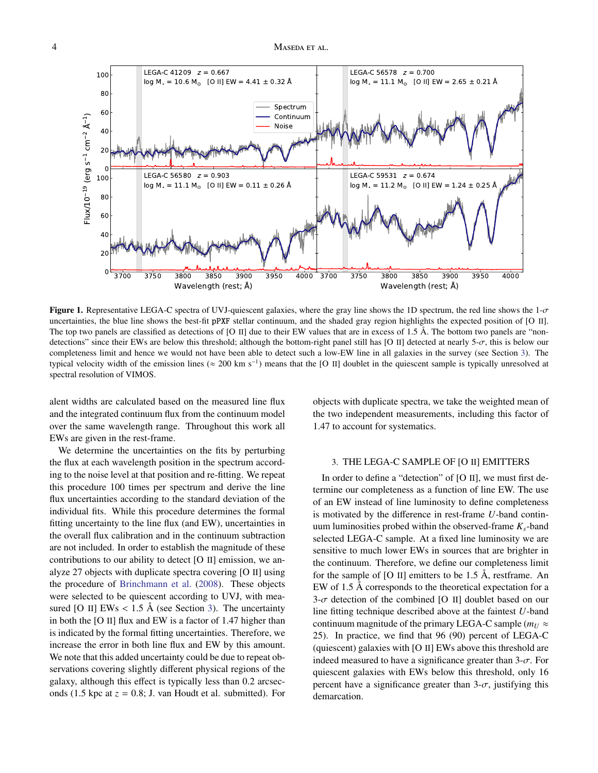#### 4 MASEDA ET AL.



<span id="page-3-1"></span>Figure 1. Representative LEGA-C spectra of UVJ-quiescent galaxies, where the gray line shows the 1D spectrum, the red line shows the  $1-\sigma$ uncertainties, the blue line shows the best-fit pPXF stellar continuum, and the shaded gray region highlights the expected position of [O II]. The top two panels are classified as detections of [O II] due to their EW values that are in excess of 1.5 Å. The bottom two panels are "nondetections" since their EWs are below this threshold; although the bottom-right panel still has [O II] detected at nearly 5- $\sigma$ , this is below our completeness limit and hence we would not have been able to detect such a low-EW line in all galaxies in the survey (see Section [3\)](#page-3-0). The typical velocity width of the emission lines ( $\approx 200 \text{ km s}^{-1}$ ) means that the [O II] doublet in the quiescent sample is typically unresolved at spectral resolution of VIMOS.

alent widths are calculated based on the measured line flux and the integrated continuum flux from the continuum model over the same wavelength range. Throughout this work all EWs are given in the rest-frame.

We determine the uncertainties on the fits by perturbing the flux at each wavelength position in the spectrum according to the noise level at that position and re-fitting. We repeat this procedure 100 times per spectrum and derive the line flux uncertainties according to the standard deviation of the individual fits. While this procedure determines the formal fitting uncertainty to the line flux (and EW), uncertainties in the overall flux calibration and in the continuum subtraction are not included. In order to establish the magnitude of these contributions to our ability to detect [O II] emission, we analyze 27 objects with duplicate spectra covering [O II] using the procedure of [Brinchmann et al.](#page-14-40) [\(2008\)](#page-14-40). These objects were selected to be quiescent according to UVJ, with measured [O II] EWs  $< 1.5$  Å (see Section [3\)](#page-3-0). The uncertainty in both the [O II] flux and EW is a factor of 1.47 higher than is indicated by the formal fitting uncertainties. Therefore, we increase the error in both line flux and EW by this amount. We note that this added uncertainty could be due to repeat observations covering slightly different physical regions of the galaxy, although this effect is typically less than 0.2 arcseconds (1.5 kpc at  $z = 0.8$ ; J. van Houdt et al. submitted). For

objects with duplicate spectra, we take the weighted mean of the two independent measurements, including this factor of 1.47 to account for systematics.

# <span id="page-3-0"></span>3. THE LEGA-C SAMPLE OF [O II] EMITTERS

In order to define a "detection" of [O II], we must first determine our completeness as a function of line EW. The use of an EW instead of line luminosity to define completeness is motivated by the difference in rest-frame *U*-band continuum luminosities probed within the observed-frame *Ks*-band selected LEGA-C sample. At a fixed line luminosity we are sensitive to much lower EWs in sources that are brighter in the continuum. Therefore, we define our completeness limit for the sample of  $[O II]$  emitters to be 1.5 Å, restframe. An EW of 1.5 Å corresponds to the theoretical expectation for a  $3-\sigma$  detection of the combined [O II] doublet based on our line fitting technique described above at the faintest *U*-band continuum magnitude of the primary LEGA-C sample ( $m_U \approx$ 25). In practice, we find that 96 (90) percent of LEGA-C (quiescent) galaxies with [O II] EWs above this threshold are indeed measured to have a significance greater than  $3-\sigma$ . For quiescent galaxies with EWs below this threshold, only 16 percent have a significance greater than  $3-\sigma$ , justifying this demarcation.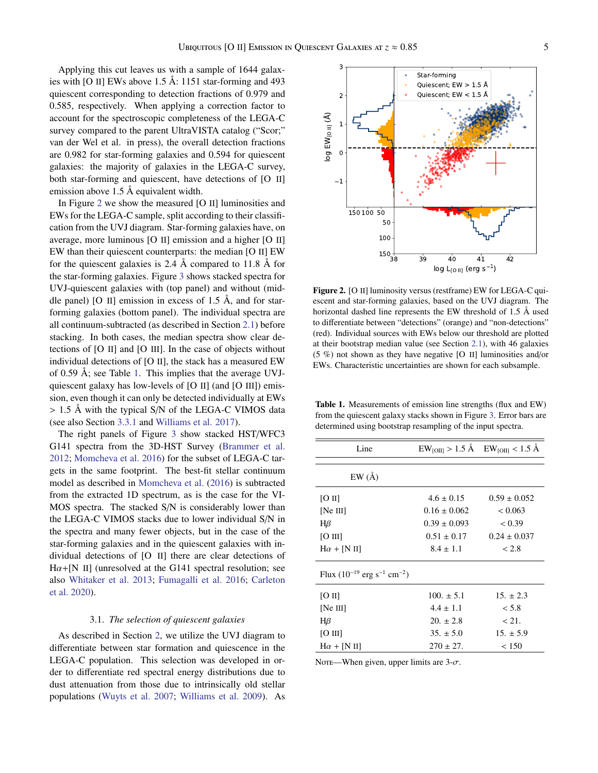Applying this cut leaves us with a sample of 1644 galaxies with [O II] EWs above 1.5 Å: 1151 star-forming and 493 quiescent corresponding to detection fractions of 0.979 and 0.585, respectively. When applying a correction factor to account for the spectroscopic completeness of the LEGA-C survey compared to the parent UltraVISTA catalog ("Scor;" van der Wel et al. in press), the overall detection fractions are 0.982 for star-forming galaxies and 0.594 for quiescent galaxies: the majority of galaxies in the LEGA-C survey, both star-forming and quiescent, have detections of [O II] emission above 1.5 Å equivalent width.

In Figure [2](#page-4-0) we show the measured [O II] luminosities and EWs for the LEGA-C sample, split according to their classification from the UVJ diagram. Star-forming galaxies have, on average, more luminous [O II] emission and a higher [O II] EW than their quiescent counterparts: the median [O II] EW for the quiescent galaxies is 2.4 Å compared to 11.8 Å for the star-forming galaxies. Figure [3](#page-5-0) shows stacked spectra for UVJ-quiescent galaxies with (top panel) and without (middle panel) [O II] emission in excess of 1.5  $\AA$ , and for starforming galaxies (bottom panel). The individual spectra are all continuum-subtracted (as described in Section [2.1\)](#page-2-2) before stacking. In both cases, the median spectra show clear detections of [O II] and [O III]. In the case of objects without individual detections of [O II], the stack has a measured EW of 0.59 Å; see Table [1.](#page-4-1) This implies that the average UVJquiescent galaxy has low-levels of [O II] (and [O III]) emission, even though it can only be detected individually at EWs > 1.5 Å with the typical S/N of the LEGA-C VIMOS data (see also Section [3.3.1](#page-7-1) and [Williams et al.](#page-15-6) [2017\)](#page-15-6).

The right panels of Figure [3](#page-5-0) show stacked HST/WFC3 G141 spectra from the 3D-HST Survey [\(Brammer et al.](#page-13-10) [2012;](#page-13-10) [Momcheva et al.](#page-14-41) [2016\)](#page-14-41) for the subset of LEGA-C targets in the same footprint. The best-fit stellar continuum model as described in [Momcheva et al.](#page-14-41) [\(2016\)](#page-14-41) is subtracted from the extracted 1D spectrum, as is the case for the VI-MOS spectra. The stacked S/N is considerably lower than the LEGA-C VIMOS stacks due to lower individual S/N in the spectra and many fewer objects, but in the case of the star-forming galaxies and in the quiescent galaxies with individual detections of [O II] there are clear detections of  $H\alpha + [N II]$  (unresolved at the G141 spectral resolution; see also [Whitaker et al.](#page-15-12) [2013;](#page-15-12) [Fumagalli et al.](#page-14-42) [2016;](#page-14-42) [Carleton](#page-14-43) [et al.](#page-14-43) [2020\)](#page-14-43).

#### 3.1. *The selection of quiescent galaxies*

As described in Section [2,](#page-2-0) we utilize the UVJ diagram to differentiate between star formation and quiescence in the LEGA-C population. This selection was developed in order to differentiate red spectral energy distributions due to dust attenuation from those due to intrinsically old stellar populations [\(Wuyts et al.](#page-15-13) [2007;](#page-15-13) [Williams et al.](#page-15-14) [2009\)](#page-15-14). As



<span id="page-4-0"></span>Figure 2. [O II] luminosity versus (restframe) EW for LEGA-C quiescent and star-forming galaxies, based on the UVJ diagram. The horizontal dashed line represents the EW threshold of 1.5 Å used to differentiate between "detections" (orange) and "non-detections" (red). Individual sources with EWs below our threshold are plotted at their bootstrap median value (see Section [2.1\)](#page-2-2), with 46 galaxies (5 %) not shown as they have negative [O II] luminosities and/or EWs. Characteristic uncertainties are shown for each subsample.

<span id="page-4-1"></span>Table 1. Measurements of emission line strengths (flux and EW) from the quiescent galaxy stacks shown in Figure [3.](#page-5-0) Error bars are determined using bootstrap resampling of the input spectra.

|                  | $EW_{[OII]} > 1.5$ Å $EW_{[OII]} < 1.5$ Å |
|------------------|-------------------------------------------|
|                  |                                           |
| $4.6 \pm 0.15$   | $0.59 \pm 0.052$                          |
| $0.16 \pm 0.062$ | < 0.063                                   |
| $0.39 \pm 0.093$ | < 0.39                                    |
| $0.51 \pm 0.17$  | $0.24 \pm 0.037$                          |
| $8.4 \pm 1.1$    | < 2.8                                     |
|                  |                                           |
| $100. \pm 5.1$   | $15. \pm 2.3$                             |
| $4.4 \pm 1.1$    | < 5.8                                     |
| $20. \pm 2.8$    | < 21.                                     |
| $35. \pm 5.0$    | $15. \pm 5.9$                             |
| $270 \pm 27$ .   | < 150                                     |
|                  |                                           |

Note—When given, upper limits are  $3-\sigma$ .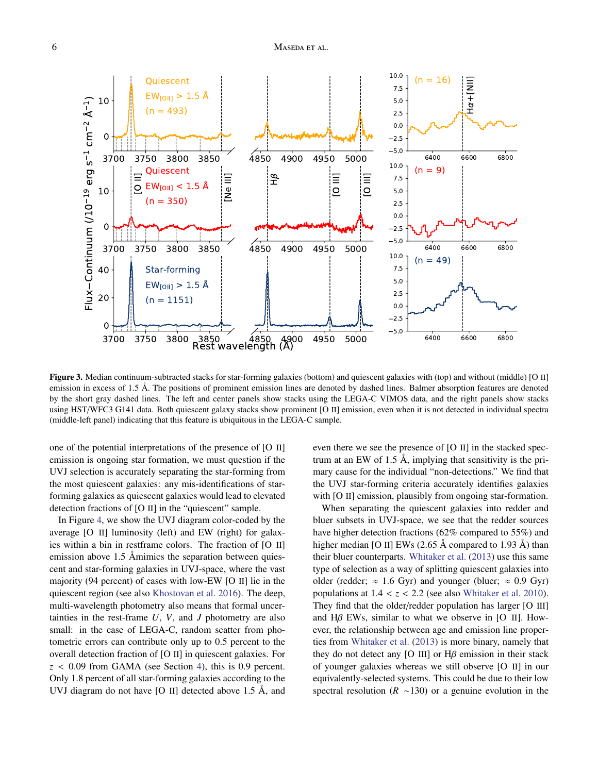## 6 MASEDA ET AL.



<span id="page-5-0"></span>Figure 3. Median continuum-subtracted stacks for star-forming galaxies (bottom) and quiescent galaxies with (top) and without (middle) [O II] emission in excess of 1.5 Å. The positions of prominent emission lines are denoted by dashed lines. Balmer absorption features are denoted by the short gray dashed lines. The left and center panels show stacks using the LEGA-C VIMOS data, and the right panels show stacks using HST/WFC3 G141 data. Both quiescent galaxy stacks show prominent [O II] emission, even when it is not detected in individual spectra (middle-left panel) indicating that this feature is ubiquitous in the LEGA-C sample.

one of the potential interpretations of the presence of [O II] emission is ongoing star formation, we must question if the UVJ selection is accurately separating the star-forming from the most quiescent galaxies: any mis-identifications of starforming galaxies as quiescent galaxies would lead to elevated detection fractions of [O II] in the "quiescent" sample.

In Figure [4,](#page-6-0) we show the UVJ diagram color-coded by the average [O II] luminosity (left) and EW (right) for galaxies within a bin in restframe colors. The fraction of [O II] emission above 1.5 Åmimics the separation between quiescent and star-forming galaxies in UVJ-space, where the vast majority (94 percent) of cases with low-EW [O II] lie in the quiescent region (see also [Khostovan et al.](#page-14-26) [2016\)](#page-14-26). The deep, multi-wavelength photometry also means that formal uncertainties in the rest-frame *U*, *V*, and *J* photometry are also small: in the case of LEGA-C, random scatter from photometric errors can contribute only up to 0.5 percent to the overall detection fraction of [O II] in quiescent galaxies. For  $z < 0.09$  from GAMA (see Section [4\)](#page-8-0), this is 0.9 percent. Only 1.8 percent of all star-forming galaxies according to the UVJ diagram do not have [O II] detected above 1.5 Å, and even there we see the presence of [O II] in the stacked spectrum at an EW of 1.5 Å, implying that sensitivity is the primary cause for the individual "non-detections." We find that the UVJ star-forming criteria accurately identifies galaxies with [O II] emission, plausibly from ongoing star-formation.

When separating the quiescent galaxies into redder and bluer subsets in UVJ-space, we see that the redder sources have higher detection fractions (62% compared to 55%) and higher median [O II] EWs  $(2.65 \text{ Å}$  compared to 1.93 Å) than their bluer counterparts. [Whitaker et al.](#page-15-12) [\(2013\)](#page-15-12) use this same type of selection as a way of splitting quiescent galaxies into older (redder;  $\approx 1.6$  Gyr) and younger (bluer;  $\approx 0.9$  Gyr) populations at  $1.4 < z < 2.2$  (see also [Whitaker et al.](#page-15-15) [2010\)](#page-15-15). They find that the older/redder population has larger [O III] and  $H\beta$  EWs, similar to what we observe in [O II]. However, the relationship between age and emission line properties from [Whitaker et al.](#page-15-12) [\(2013\)](#page-15-12) is more binary, namely that they do not detect any [O III] or  $H\beta$  emission in their stack of younger galaxies whereas we still observe [O II] in our equivalently-selected systems. This could be due to their low spectral resolution (*R* ∼130) or a genuine evolution in the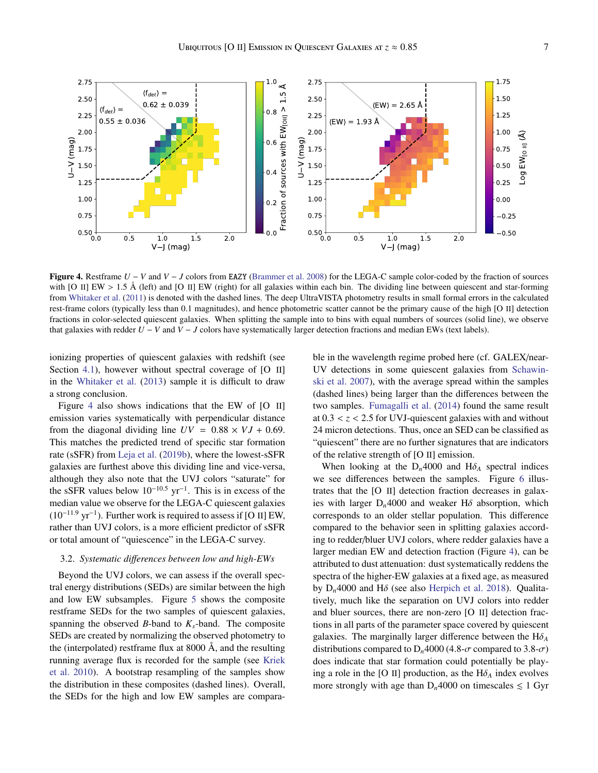

<span id="page-6-0"></span>Figure 4. Restframe *U* − *V* and *V* − *J* colors from EAZY [\(Brammer et al.](#page-13-8) [2008\)](#page-13-8) for the LEGA-C sample color-coded by the fraction of sources with [O II] EW  $> 1.5$  Å (left) and [O II] EW (right) for all galaxies within each bin. The dividing line between quiescent and star-forming from [Whitaker et al.](#page-15-8) [\(2011\)](#page-15-8) is denoted with the dashed lines. The deep UltraVISTA photometry results in small formal errors in the calculated rest-frame colors (typically less than 0.1 magnitudes), and hence photometric scatter cannot be the primary cause of the high [O II] detection fractions in color-selected quiescent galaxies. When splitting the sample into to bins with equal numbers of sources (solid line), we observe that galaxies with redder  $U - V$  and  $V - J$  colors have systematically larger detection fractions and median EWs (text labels).

ionizing properties of quiescent galaxies with redshift (see Section [4.1\)](#page-9-0), however without spectral coverage of [O II] in the [Whitaker et al.](#page-15-12) [\(2013\)](#page-15-12) sample it is difficult to draw a strong conclusion.

Figure [4](#page-6-0) also shows indications that the EW of [O II] emission varies systematically with perpendicular distance from the diagonal dividing line  $UV = 0.88 \times VJ + 0.69$ . This matches the predicted trend of specific star formation rate (sSFR) from [Leja et al.](#page-14-44) [\(2019b\)](#page-14-44), where the lowest-sSFR galaxies are furthest above this dividing line and vice-versa, although they also note that the UVJ colors "saturate" for the sSFR values below  $10^{-10.5}$  yr<sup>-1</sup>. This is in excess of the median value we observe for the LEGA-C quiescent galaxies  $(10^{-11.9} \text{ yr}^{-1})$ . Further work is required to assess if [O II] EW, rather than UVJ colors, is a more efficient predictor of sSFR or total amount of "quiescence" in the LEGA-C survey.

### <span id="page-6-1"></span>3.2. *Systematic di*ff*erences between low and high-EWs*

Beyond the UVJ colors, we can assess if the overall spectral energy distributions (SEDs) are similar between the high and low EW subsamples. Figure [5](#page-7-2) shows the composite restframe SEDs for the two samples of quiescent galaxies, spanning the observed *B*-band to  $K_s$ -band. The composite SEDs are created by normalizing the observed photometry to the (interpolated) restframe flux at 8000 Å, and the resulting running average flux is recorded for the sample (see [Kriek](#page-14-12) [et al.](#page-14-12) [2010\)](#page-14-12). A bootstrap resampling of the samples show the distribution in these composites (dashed lines). Overall, the SEDs for the high and low EW samples are comparable in the wavelength regime probed here (cf. GALEX/near-UV detections in some quiescent galaxies from [Schawin](#page-14-6)[ski et al.](#page-14-6) [2007\)](#page-14-6), with the average spread within the samples (dashed lines) being larger than the differences between the two samples. [Fumagalli et al.](#page-14-45) [\(2014\)](#page-14-45) found the same result at  $0.3 < z < 2.5$  for UVJ-quiescent galaxies with and without 24 micron detections. Thus, once an SED can be classified as "quiescent" there are no further signatures that are indicators of the relative strength of [O II] emission.

When looking at the  $D_n$ 4000 and  $H\delta_A$  spectral indices we see differences between the samples. Figure [6](#page-7-3) illustrates that the [O II] detection fraction decreases in galaxies with larger  $D_n$ 4000 and weaker H $\delta$  absorption, which corresponds to an older stellar population. This difference compared to the behavior seen in splitting galaxies according to redder/bluer UVJ colors, where redder galaxies have a larger median EW and detection fraction (Figure [4\)](#page-6-0), can be attributed to dust attenuation: dust systematically reddens the spectra of the higher-EW galaxies at a fixed age, as measured by  $D_n4000$  and H $\delta$  (see also [Herpich et al.](#page-14-17) [2018\)](#page-14-17). Qualitatively, much like the separation on UVJ colors into redder and bluer sources, there are non-zero [O II] detection fractions in all parts of the parameter space covered by quiescent galaxies. The marginally larger difference between the  $H\delta_A$ distributions compared to  $D_n4000$  (4.8- $\sigma$  compared to 3.8- $\sigma$ ) does indicate that star formation could potentially be playing a role in the [O II] production, as the  $H\delta_A$  index evolves more strongly with age than  $D_n4000$  on timescales  $\leq 1$  Gyr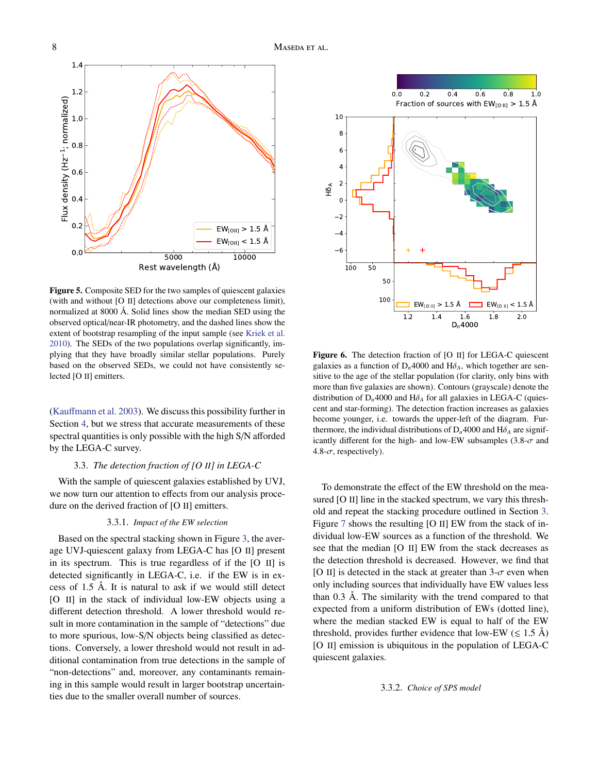

<span id="page-7-2"></span>Figure 5. Composite SED for the two samples of quiescent galaxies (with and without [O II] detections above our completeness limit), normalized at 8000 Å. Solid lines show the median SED using the observed optical/near-IR photometry, and the dashed lines show the extent of bootstrap resampling of the input sample (see [Kriek et al.](#page-14-12) [2010\)](#page-14-12). The SEDs of the two populations overlap significantly, implying that they have broadly similar stellar populations. Purely based on the observed SEDs, we could not have consistently selected [O II] emitters.

(Kauff[mann et al.](#page-14-46) [2003\)](#page-14-46). We discuss this possibility further in Section [4,](#page-8-0) but we stress that accurate measurements of these spectral quantities is only possible with the high S/N afforded by the LEGA-C survey.

#### 3.3. *The detection fraction of [O II] in LEGA-C*

With the sample of quiescent galaxies established by UVJ, we now turn our attention to effects from our analysis procedure on the derived fraction of [O II] emitters.

#### 3.3.1. *Impact of the EW selection*

<span id="page-7-1"></span>Based on the spectral stacking shown in Figure [3,](#page-5-0) the average UVJ-quiescent galaxy from LEGA-C has [O II] present in its spectrum. This is true regardless of if the [O II] is detected significantly in LEGA-C, i.e. if the EW is in excess of 1.5 Å. It is natural to ask if we would still detect [O II] in the stack of individual low-EW objects using a different detection threshold. A lower threshold would result in more contamination in the sample of "detections" due to more spurious, low-S/N objects being classified as detections. Conversely, a lower threshold would not result in additional contamination from true detections in the sample of "non-detections" and, moreover, any contaminants remaining in this sample would result in larger bootstrap uncertainties due to the smaller overall number of sources.



<span id="page-7-3"></span>Figure 6. The detection fraction of [O II] for LEGA-C quiescent galaxies as a function of  $D_n$ 4000 and  $H\delta_A$ , which together are sensitive to the age of the stellar population (for clarity, only bins with more than five galaxies are shown). Contours (grayscale) denote the distribution of  $D_n4000$  and  $H\delta_A$  for all galaxies in LEGA-C (quiescent and star-forming). The detection fraction increases as galaxies become younger, i.e. towards the upper-left of the diagram. Furthermore, the individual distributions of  $D_n$ 4000 and  $H\delta_A$  are significantly different for the high- and low-EW subsamples  $(3.8-\sigma$  and 4.8- $\sigma$ , respectively).

To demonstrate the effect of the EW threshold on the measured [O II] line in the stacked spectrum, we vary this threshold and repeat the stacking procedure outlined in Section [3.](#page-3-0) Figure [7](#page-8-1) shows the resulting [O II] EW from the stack of individual low-EW sources as a function of the threshold. We see that the median [O II] EW from the stack decreases as the detection threshold is decreased. However, we find that [O II] is detected in the stack at greater than  $3-\sigma$  even when only including sources that individually have EW values less than 0.3 Å. The similarity with the trend compared to that expected from a uniform distribution of EWs (dotted line), where the median stacked EW is equal to half of the EW threshold, provides further evidence that low-EW ( $\leq 1.5$  Å) [O II] emission is ubiquitous in the population of LEGA-C quiescent galaxies.

<span id="page-7-0"></span>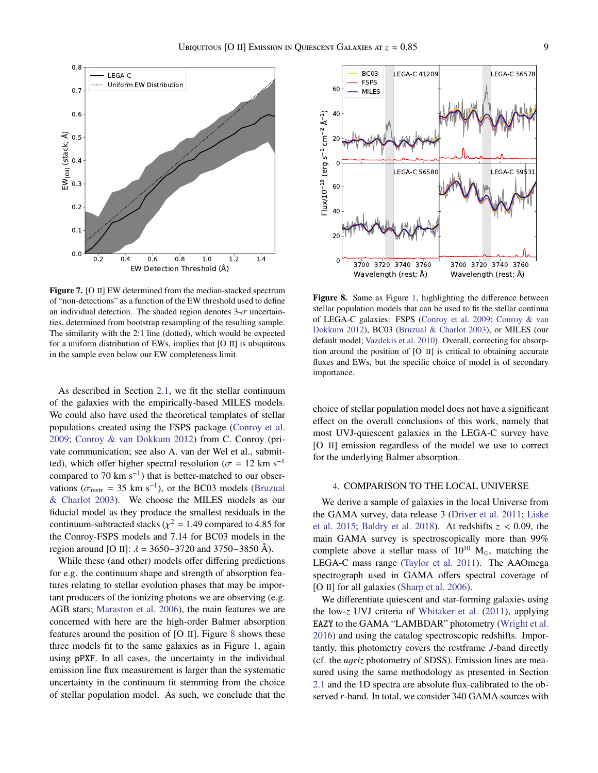

<span id="page-8-1"></span>Figure 7. [O II] EW determined from the median-stacked spectrum of "non-detections" as a function of the EW threshold used to define an individual detection. The shaded region denotes  $3-\sigma$  uncertainties, determined from bootstrap resampling of the resulting sample. The similarity with the 2:1 line (dotted), which would be expected for a uniform distribution of EWs, implies that [O II] is ubiquitous in the sample even below our EW completeness limit.

As described in Section [2.1,](#page-2-2) we fit the stellar continuum of the galaxies with the empirically-based MILES models. We could also have used the theoretical templates of stellar populations created using the FSPS package [\(Conroy et al.](#page-14-47) [2009;](#page-14-47) [Conroy & van Dokkum](#page-14-48) [2012\)](#page-14-48) from C. Conroy (private communication; see also A. van der Wel et al., submitted), which offer higher spectral resolution ( $\sigma = 12$  km s<sup>-1</sup> compared to 70 km  $s^{-1}$ ) that is better-matched to our observations ( $\sigma_{\text{instr}} = 35 \text{ km s}^{-1}$ ), or the BC03 models [\(Bruzual](#page-14-49)  $\⊂>g$  Charlot 2003). We choose the MILES models as our [& Charlot](#page-14-49) [2003\)](#page-14-49). We choose the MILES models as our fiducial model as they produce the smallest residuals in the continuum-subtracted stacks ( $\chi^2 = 1.49$  compared to 4.85 for<br>the Conroy ESPS models and 7.14 for BC03 models in the the Conroy-FSPS models and 7.14 for BC03 models in the region around [O II]:  $\lambda = 3650 - 3720$  and 3750–3850 Å).

While these (and other) models offer differing predictions for e.g. the continuum shape and strength of absorption features relating to stellar evolution phases that may be important producers of the ionizing photons we are observing (e.g. AGB stars; [Maraston et al.](#page-14-11) [2006\)](#page-14-11), the main features we are concerned with here are the high-order Balmer absorption features around the position of [O II]. Figure [8](#page-8-2) shows these three models fit to the same galaxies as in Figure [1,](#page-3-1) again using pPXF. In all cases, the uncertainty in the individual emission line flux measurement is larger than the systematic uncertainty in the continuum fit stemming from the choice of stellar population model. As such, we conclude that the



<span id="page-8-2"></span>Figure 8. Same as Figure [1,](#page-3-1) highlighting the difference between stellar population models that can be used to fit the stellar continua of LEGA-C galaxies: FSPS [\(Conroy et al.](#page-14-47) [2009;](#page-14-47) [Conroy & van](#page-14-48) [Dokkum](#page-14-48) [2012\)](#page-14-48), BC03 [\(Bruzual & Charlot](#page-14-49) [2003\)](#page-14-49), or MILES (our default model; [Vazdekis et al.](#page-15-9) [2010\)](#page-15-9). Overall, correcting for absorption around the position of [O II] is critical to obtaining accurate fluxes and EWs, but the specific choice of model is of secondary importance.

choice of stellar population model does not have a significant effect on the overall conclusions of this work, namely that most UVJ-quiescent galaxies in the LEGA-C survey have [O II] emission regardless of the model we use to correct for the underlying Balmer absorption.

# <span id="page-8-0"></span>4. COMPARISON TO THE LOCAL UNIVERSE

We derive a sample of galaxies in the local Universe from the GAMA survey, data release 3 [\(Driver et al.](#page-14-50) [2011;](#page-14-50) [Liske](#page-14-51) [et al.](#page-14-51) [2015;](#page-14-51) [Baldry et al.](#page-13-11) [2018\)](#page-13-11). At redshifts *<sup>z</sup>* < 0.09, the main GAMA survey is spectroscopically more than 99% complete above a stellar mass of  $10^{10}$  M<sub>o</sub>, matching the LEGA-C mass range [\(Taylor et al.](#page-15-16) [2011\)](#page-15-16). The AAOmega spectrograph used in GAMA offers spectral coverage of [O II] for all galaxies [\(Sharp et al.](#page-14-52) [2006\)](#page-14-52).

We differentiate quiescent and star-forming galaxies using the low-*z* UVJ criteria of [Whitaker et al.](#page-15-8) [\(2011\)](#page-15-8), applying EAZY to the GAMA "LAMBDAR" photometry [\(Wright et al.](#page-15-17) [2016\)](#page-15-17) and using the catalog spectroscopic redshifts. Importantly, this photometry covers the restframe *J*-band directly (cf. the *<sup>u</sup>*g*riz* photometry of SDSS). Emission lines are measured using the same methodology as presented in Section [2.1](#page-2-2) and the 1D spectra are absolute flux-calibrated to the observed *r*-band. In total, we consider 340 GAMA sources with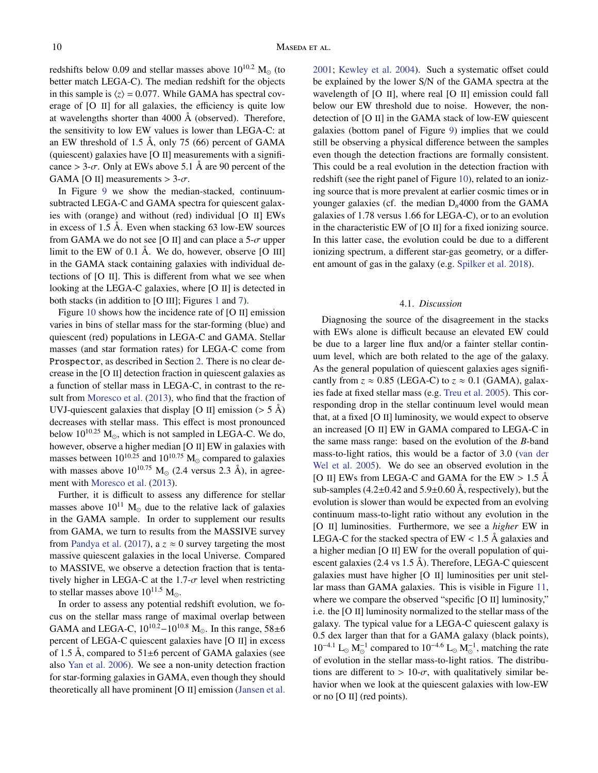redshifts below 0.09 and stellar masses above  $10^{10.2}$  M<sub>o</sub> (to better match LEGA-C). The median redshift for the objects in this sample is  $\langle z \rangle = 0.077$ . While GAMA has spectral coverage of [O II] for all galaxies, the efficiency is quite low at wavelengths shorter than 4000 Å (observed). Therefore, the sensitivity to low EW values is lower than LEGA-C: at an EW threshold of 1.5 Å, only 75 (66) percent of GAMA (quiescent) galaxies have [O II] measurements with a significance  $> 3-\sigma$ . Only at EWs above 5.1 Å are 90 percent of the GAMA [O II] measurements  $> 3-\sigma$ .

In Figure [9](#page-10-0) we show the median-stacked, continuumsubtracted LEGA-C and GAMA spectra for quiescent galaxies with (orange) and without (red) individual [O II] EWs in excess of 1.5 Å. Even when stacking 63 low-EW sources from GAMA we do not see [O II] and can place a  $5-\sigma$  upper limit to the EW of 0.1 Å. We do, however, observe [O III] in the GAMA stack containing galaxies with individual detections of [O II]. This is different from what we see when looking at the LEGA-C galaxies, where [O II] is detected in both stacks (in addition to [O III]; Figures [1](#page-3-1) and [7\)](#page-8-1).

Figure [10](#page-11-0) shows how the incidence rate of [O II] emission varies in bins of stellar mass for the star-forming (blue) and quiescent (red) populations in LEGA-C and GAMA. Stellar masses (and star formation rates) for LEGA-C come from Prospector, as described in Section [2.](#page-2-0) There is no clear decrease in the [O II] detection fraction in quiescent galaxies as a function of stellar mass in LEGA-C, in contrast to the result from [Moresco et al.](#page-14-21) [\(2013\)](#page-14-21), who find that the fraction of UVJ-quiescent galaxies that display [O II] emission ( $> 5 \text{ Å}$ ) decreases with stellar mass. This effect is most pronounced below  $10^{10.25}$  M<sub>o</sub>, which is not sampled in LEGA-C. We do, however, observe a higher median [O II] EW in galaxies with masses between  $10^{10.25}$  and  $10^{10.75}$  M<sub>o</sub> compared to galaxies with masses above  $10^{10.75}$  M<sub>o</sub> (2.4 versus 2.3 Å), in agreement with [Moresco et al.](#page-14-21) [\(2013\)](#page-14-21).

Further, it is difficult to assess any difference for stellar masses above  $10^{11}$  M<sub>o</sub> due to the relative lack of galaxies in the GAMA sample. In order to supplement our results from GAMA, we turn to results from the MASSIVE survey from [Pandya et al.](#page-14-53) [\(2017\)](#page-14-53), a  $z \approx 0$  survey targeting the most massive quiescent galaxies in the local Universe. Compared to MASSIVE, we observe a detection fraction that is tentatively higher in LEGA-C at the 1.7- $\sigma$  level when restricting to stellar masses above  $10^{11.5}$  M<sub>o</sub>.

In order to assess any potential redshift evolution, we focus on the stellar mass range of maximal overlap between GAMA and LEGA-C,  $10^{10.2} - 10^{10.8}$  M<sub>o</sub>. In this range,  $58 \pm 6$ percent of LEGA-C quiescent galaxies have [O II] in excess of 1.5 Å, compared to  $51\pm6$  percent of GAMA galaxies (see also [Yan et al.](#page-15-18) [2006\)](#page-15-18). We see a non-unity detection fraction for star-forming galaxies in GAMA, even though they should theoretically all have prominent [O II] emission [\(Jansen et al.](#page-14-54) [2001;](#page-14-54) [Kewley et al.](#page-14-55) [2004\)](#page-14-55). Such a systematic offset could be explained by the lower S/N of the GAMA spectra at the wavelength of [O II], where real [O II] emission could fall below our EW threshold due to noise. However, the nondetection of [O II] in the GAMA stack of low-EW quiescent galaxies (bottom panel of Figure [9\)](#page-10-0) implies that we could still be observing a physical difference between the samples even though the detection fractions are formally consistent. This could be a real evolution in the detection fraction with redshift (see the right panel of Figure [10\)](#page-11-0), related to an ionizing source that is more prevalent at earlier cosmic times or in younger galaxies (cf. the median D*n*4000 from the GAMA galaxies of 1.78 versus 1.66 for LEGA-C), or to an evolution in the characteristic EW of [O II] for a fixed ionizing source. In this latter case, the evolution could be due to a different ionizing spectrum, a different star-gas geometry, or a different amount of gas in the galaxy (e.g. [Spilker et al.](#page-15-1) [2018\)](#page-15-1).

#### 4.1. *Discussion*

<span id="page-9-0"></span>Diagnosing the source of the disagreement in the stacks with EWs alone is difficult because an elevated EW could be due to a larger line flux and/or a fainter stellar continuum level, which are both related to the age of the galaxy. As the general population of quiescent galaxies ages significantly from  $z \approx 0.85$  (LEGA-C) to  $z \approx 0.1$  (GAMA), galaxies fade at fixed stellar mass (e.g. [Treu et al.](#page-15-0) [2005\)](#page-15-0). This corresponding drop in the stellar continuum level would mean that, at a fixed [O II] luminosity, we would expect to observe an increased [O II] EW in GAMA compared to LEGA-C in the same mass range: based on the evolution of the *B*-band mass-to-light ratios, this would be a factor of 3.0 [\(van der](#page-15-19) [Wel et al.](#page-15-19) [2005\)](#page-15-19). We do see an observed evolution in the [O II] EWs from LEGA-C and GAMA for the EW  $> 1.5$  Å sub-samples  $(4.2\pm0.42$  and  $5.9\pm0.60$  Å, respectively), but the evolution is slower than would be expected from an evolving continuum mass-to-light ratio without any evolution in the [O II] luminosities. Furthermore, we see a *higher* EW in LEGA-C for the stacked spectra of  $EW < 1.5$  Å galaxies and a higher median [O II] EW for the overall population of quiescent galaxies (2.4 vs 1.5 Å). Therefore, LEGA-C quiescent galaxies must have higher [O II] luminosities per unit stellar mass than GAMA galaxies. This is visible in Figure [11,](#page-12-1) where we compare the observed "specific [O II] luminosity," i.e. the [O II] luminosity normalized to the stellar mass of the galaxy. The typical value for a LEGA-C quiescent galaxy is 0.5 dex larger than that for a GAMA galaxy (black points),  $10^{-4.1}$  L<sub>☉</sub> M<sub>☉</sub><sup>-1</sup> compared to  $10^{-4.6}$  L<sub>☉</sub> M<sub>☉</sub><sup>-1</sup>, matching the rate of evolution in the stellar mass-to-light ratios. The distributions are different to  $> 10$ - $\sigma$ , with qualitatively similar behavior when we look at the quiescent galaxies with low-EW or no [O II] (red points).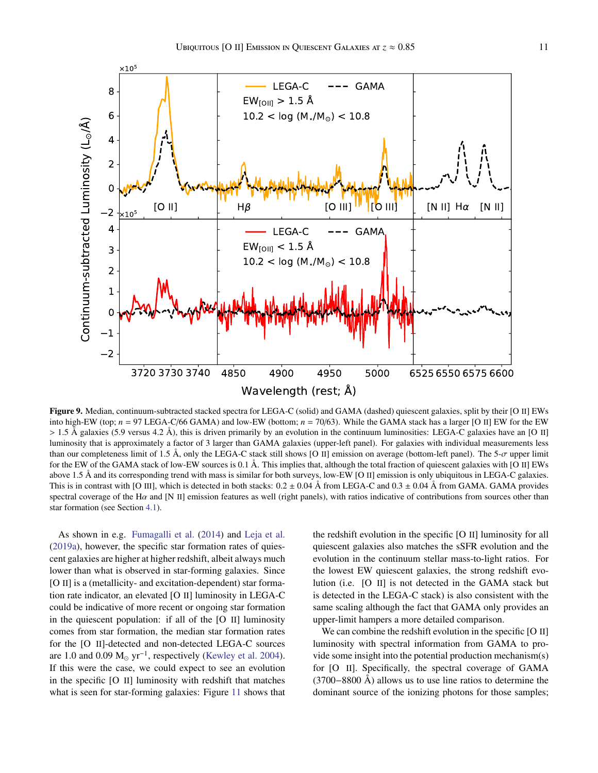



<span id="page-10-0"></span>Figure 9. Median, continuum-subtracted stacked spectra for LEGA-C (solid) and GAMA (dashed) quiescent galaxies, split by their [O II] EWs into high-EW (top; *n* = 97 LEGA-C/66 GAMA) and low-EW (bottom; *n* = 70/63). While the GAMA stack has a larger [O II] EW for the EW  $> 1.5$  Å galaxies (5.9 versus 4.2 Å), this is driven primarily by an evolution in the continuum luminosities: LEGA-C galaxies have an [O II] luminosity that is approximately a factor of 3 larger than GAMA galaxies (upper-left panel). For galaxies with individual measurements less than our completeness limit of 1.5 Å, only the LEGA-C stack still shows [O II] emission on average (bottom-left panel). The 5-σ upper limit for the EW of the GAMA stack of low-EW sources is 0.1 Å. This implies that, although the total fraction of quiescent galaxies with [O II] EWs above 1.5 Å and its corresponding trend with mass is similar for both surveys, low-EW [O II] emission is only ubiquitous in LEGA-C galaxies. This is in contrast with [O III], which is detected in both stacks:  $0.2 \pm 0.04$  Å from LEGA-C and  $0.3 \pm 0.04$  Å from GAMA. GAMA provides spectral coverage of the H $\alpha$  and [N II] emission features as well (right panels), with ratios indicative of contributions from sources other than star formation (see Section [4.1\)](#page-9-0).

As shown in e.g. [Fumagalli et al.](#page-14-45) [\(2014\)](#page-14-45) and [Leja et al.](#page-14-56) [\(2019a\)](#page-14-56), however, the specific star formation rates of quiescent galaxies are higher at higher redshift, albeit always much lower than what is observed in star-forming galaxies. Since [O II] is a (metallicity- and excitation-dependent) star formation rate indicator, an elevated [O II] luminosity in LEGA-C could be indicative of more recent or ongoing star formation in the quiescent population: if all of the [O II] luminosity comes from star formation, the median star formation rates for the [O II]-detected and non-detected LEGA-C sources are 1.0 and 0.09  $M_{\odot}$  yr<sup>-1</sup>, respectively [\(Kewley et al.](#page-14-55) [2004\)](#page-14-55). If this were the case, we could expect to see an evolution in the specific [O II] luminosity with redshift that matches what is seen for star-forming galaxies: Figure [11](#page-12-1) shows that the redshift evolution in the specific [O II] luminosity for all quiescent galaxies also matches the sSFR evolution and the evolution in the continuum stellar mass-to-light ratios. For the lowest EW quiescent galaxies, the strong redshift evolution (i.e. [O II] is not detected in the GAMA stack but is detected in the LEGA-C stack) is also consistent with the same scaling although the fact that GAMA only provides an upper-limit hampers a more detailed comparison.

We can combine the redshift evolution in the specific [O II] luminosity with spectral information from GAMA to provide some insight into the potential production mechanism(s) for [O II]. Specifically, the spectral coverage of GAMA (3700−8800 Å) allows us to use line ratios to determine the dominant source of the ionizing photons for those samples;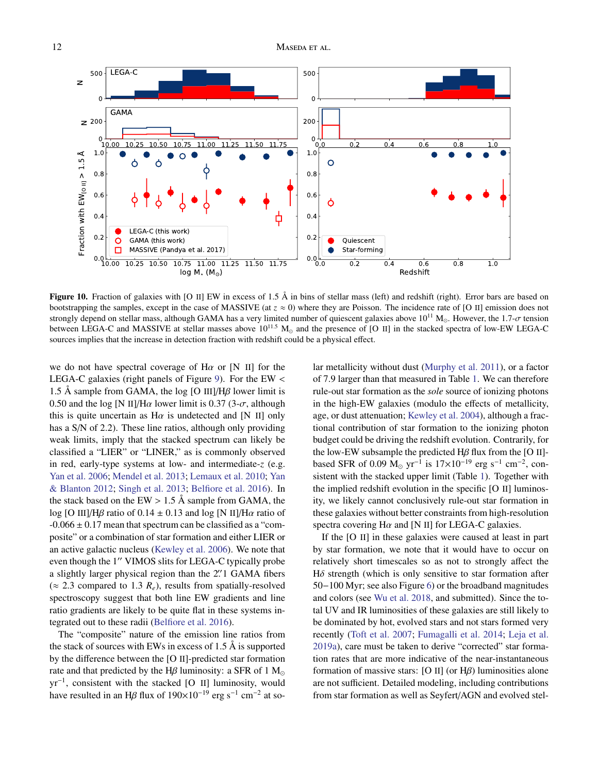

<span id="page-11-0"></span>Figure 10. Fraction of galaxies with [O II] EW in excess of 1.5 Å in bins of stellar mass (left) and redshift (right). Error bars are based on bootstrapping the samples, except in the case of MASSIVE (at  $z \approx 0$ ) where they are Poisson. The incidence rate of [O II] emission does not strongly depend on stellar mass, although GAMA has a very limited number of quiescent galaxies above  $10^{11}$  M<sub>o</sub>. However, the 1.7- $\sigma$  tension between LEGA-C and MASSIVE at stellar masses above  $10^{11.5}$  M<sub>o</sub> and the presence of [O II] in the stacked spectra of low-EW LEGA-C sources implies that the increase in detection fraction with redshift could be a physical effect.

we do not have spectral coverage of  $H\alpha$  or [N II] for the LEGA-C galaxies (right panels of Figure [9\)](#page-10-0). For the EW  $\lt$ 1.5 Å sample from GAMA, the log [O III]/H $\beta$  lower limit is 0.50 and the log [N II]/H $\alpha$  lower limit is 0.37 (3- $\sigma$ , although this is quite uncertain as  $H\alpha$  is undetected and [N II] only has a S/N of 2.2). These line ratios, although only providing weak limits, imply that the stacked spectrum can likely be classified a "LIER" or "LINER," as is commonly observed in red, early-type systems at low- and intermediate-*z* (e.g. [Yan et al.](#page-15-18) [2006;](#page-15-18) [Mendel et al.](#page-14-57) [2013;](#page-14-57) [Lemaux et al.](#page-14-19) [2010;](#page-14-19) [Yan](#page-15-20) [& Blanton](#page-15-20) [2012;](#page-15-20) [Singh et al.](#page-15-21) [2013;](#page-15-21) [Belfiore et al.](#page-13-1) [2016\)](#page-13-1). In the stack based on the EW  $> 1.5$  Å sample from GAMA, the log [O III]/H $\beta$  ratio of 0.14  $\pm$  0.13 and log [N II]/H $\alpha$  ratio of  $-0.066 \pm 0.17$  mean that spectrum can be classified as a "composite" or a combination of star formation and either LIER or an active galactic nucleus [\(Kewley et al.](#page-14-58) [2006\)](#page-14-58). We note that even though the 1" VIMOS slits for LEGA-C typically probe a slightly larger physical region than the 2. I GAMA fibers  $(2, 2, 3,$  compared to  $1, 3, R$ ), results from spatially resolved  $(\approx 2.3$  compared to 1.3  $R_e$ ), results from spatially-resolved spectroscopy suggest that both line EW gradients and line ratio gradients are likely to be quite flat in these systems integrated out to these radii [\(Belfiore et al.](#page-13-1) [2016\)](#page-13-1).

The "composite" nature of the emission line ratios from the stack of sources with EWs in excess of 1.5 Å is supported by the difference between the [O II]-predicted star formation rate and that predicted by the H $\beta$  luminosity: a SFR of 1 M<sub>o</sub> yr<sup>−</sup><sup>1</sup> , consistent with the stacked [O II] luminosity, would have resulted in an H $\beta$  flux of 190×10<sup>-19</sup> erg s<sup>-1</sup> cm<sup>-2</sup> at solar metallicity without dust [\(Murphy et al.](#page-14-59) [2011\)](#page-14-59), or a factor of 7.9 larger than that measured in Table [1.](#page-4-1) We can therefore rule-out star formation as the *sole* source of ionizing photons in the high-EW galaxies (modulo the effects of metallicity, age, or dust attenuation; [Kewley et al.](#page-14-55) [2004\)](#page-14-55), although a fractional contribution of star formation to the ionizing photon budget could be driving the redshift evolution. Contrarily, for the low-EW subsample the predicted  $H\beta$  flux from the [O II]based SFR of 0.09 M<sub>☉</sub> yr<sup>-1</sup> is  $17\times10^{-19}$  erg s<sup>-1</sup> cm<sup>-2</sup>, consistent with the stacked upper limit (Table [1\)](#page-4-1). Together with the implied redshift evolution in the specific [O II] luminosity, we likely cannot conclusively rule-out star formation in these galaxies without better constraints from high-resolution spectra covering  $H\alpha$  and [N II] for LEGA-C galaxies.

If the [O II] in these galaxies were caused at least in part by star formation, we note that it would have to occur on relatively short timescales so as not to strongly affect the  $H\delta$  strength (which is only sensitive to star formation after 50−100 Myr; see also Figure [6\)](#page-7-3) or the broadband magnitudes and colors (see [Wu et al.](#page-15-22) [2018,](#page-15-22) and submitted). Since the total UV and IR luminosities of these galaxies are still likely to be dominated by hot, evolved stars and not stars formed very recently [\(Toft et al.](#page-15-23) [2007;](#page-15-23) [Fumagalli et al.](#page-14-45) [2014;](#page-14-45) [Leja et al.](#page-14-56) [2019a\)](#page-14-56), care must be taken to derive "corrected" star formation rates that are more indicative of the near-instantaneous formation of massive stars: [O II] (or  $H\beta$ ) luminosities alone are not sufficient. Detailed modeling, including contributions from star formation as well as Seyfert/AGN and evolved stel-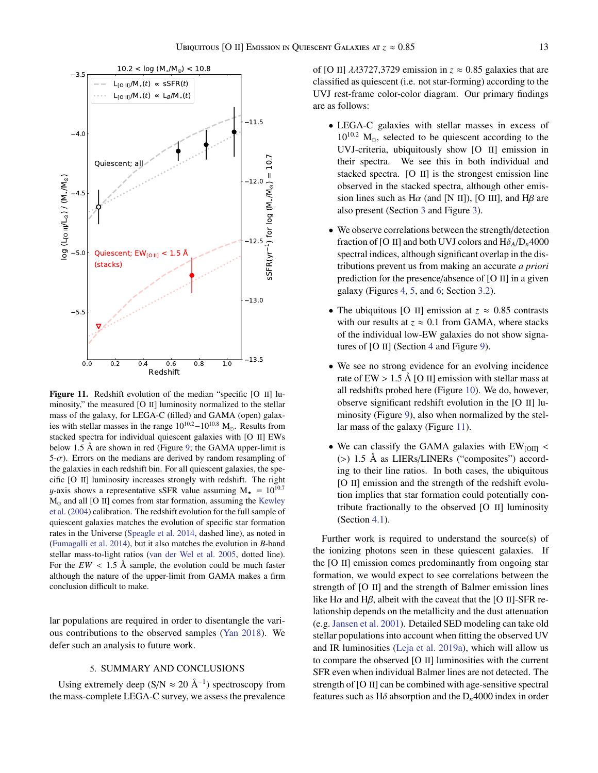

<span id="page-12-1"></span>Figure 11. Redshift evolution of the median "specific [O II] luminosity," the measured [O II] luminosity normalized to the stellar mass of the galaxy, for LEGA-C (filled) and GAMA (open) galaxies with stellar masses in the range  $10^{10.2} - 10^{10.8}$  M<sub>o</sub>. Results from stacked spectra for individual quiescent galaxies with [O II] EWs below 1.5 Å are shown in red (Figure [9;](#page-10-0) the GAMA upper-limit is  $5-\sigma$ ). Errors on the medians are derived by random resampling of the galaxies in each redshift bin. For all quiescent galaxies, the specific [O II] luminosity increases strongly with redshift. The right y-axis shows a representative sSFR value assuming  $M_{\star} = 10^{10.7}$  $M_{\odot}$  and all [O II] comes from star formation, assuming the [Kewley](#page-14-55) [et al.](#page-14-55) [\(2004\)](#page-14-55) calibration. The redshift evolution for the full sample of quiescent galaxies matches the evolution of specific star formation rates in the Universe [\(Speagle et al.](#page-15-24) [2014,](#page-15-24) dashed line), as noted in [\(Fumagalli et al.](#page-14-45) [2014\)](#page-14-45), but it also matches the evolution in *B*-band stellar mass-to-light ratios [\(van der Wel et al.](#page-15-19) [2005,](#page-15-19) dotted line). For the  $EW < 1.5$  Å sample, the evolution could be much faster although the nature of the upper-limit from GAMA makes a firm conclusion difficult to make.

lar populations are required in order to disentangle the various contributions to the observed samples [\(Yan](#page-15-25) [2018\)](#page-15-25). We defer such an analysis to future work.

# 5. SUMMARY AND CONCLUSIONS

<span id="page-12-0"></span>Using extremely deep (S/N  $\approx 20 \text{ Å}^{-1}$ ) spectroscopy from the mass-complete LEGA-C survey, we assess the prevalence of [O II]  $\lambda$  $\lambda$ 3727,3729 emission in  $z \approx 0.85$  galaxies that are classified as quiescent (i.e. not star-forming) according to the UVJ rest-frame color-color diagram. Our primary findings are as follows:

- LEGA-C galaxies with stellar masses in excess of  $10^{10.2}$  M<sub>o</sub>, selected to be quiescent according to the UVJ-criteria, ubiquitously show [O II] emission in their spectra. We see this in both individual and stacked spectra. [O II] is the strongest emission line observed in the stacked spectra, although other emission lines such as  $H\alpha$  (and [N II]), [O III], and  $H\beta$  are also present (Section [3](#page-3-0) and Figure [3\)](#page-5-0).
- We observe correlations between the strength/detection fraction of [O II] and both UVJ colors and  $H\delta_A/D_n4000$ spectral indices, although significant overlap in the distributions prevent us from making an accurate *a priori* prediction for the presence/absence of [O II] in a given galaxy (Figures [4,](#page-6-0) [5,](#page-7-2) and [6;](#page-7-3) Section [3.2\)](#page-6-1).
- The ubiquitous [O II] emission at  $z \approx 0.85$  contrasts with our results at  $z \approx 0.1$  from GAMA, where stacks of the individual low-EW galaxies do not show signatures of [O II] (Section [4](#page-8-0) and Figure [9\)](#page-10-0).
- We see no strong evidence for an evolving incidence rate of  $EW > 1.5$  Å [O II] emission with stellar mass at all redshifts probed here (Figure [10\)](#page-11-0). We do, however, observe significant redshift evolution in the [O II] luminosity (Figure [9\)](#page-10-0), also when normalized by the stellar mass of the galaxy (Figure [11\)](#page-12-1).
- We can classify the GAMA galaxies with  $EW_{\text{IOM}}$  < (>) 1.5 Å as LIERs/LINERs ("composites") according to their line ratios. In both cases, the ubiquitous [O II] emission and the strength of the redshift evolution implies that star formation could potentially contribute fractionally to the observed [O II] luminosity (Section [4.1\)](#page-9-0).

Further work is required to understand the source(s) of the ionizing photons seen in these quiescent galaxies. If the [O II] emission comes predominantly from ongoing star formation, we would expect to see correlations between the strength of [O II] and the strength of Balmer emission lines like H $\alpha$  and H $\beta$ , albeit with the caveat that the [O II]-SFR relationship depends on the metallicity and the dust attenuation (e.g. [Jansen et al.](#page-14-54) [2001\)](#page-14-54). Detailed SED modeling can take old stellar populations into account when fitting the observed UV and IR luminosities [\(Leja et al.](#page-14-56) [2019a\)](#page-14-56), which will allow us to compare the observed [O II] luminosities with the current SFR even when individual Balmer lines are not detected. The strength of [O II] can be combined with age-sensitive spectral features such as H $\delta$  absorption and the  $D_n$ 4000 index in order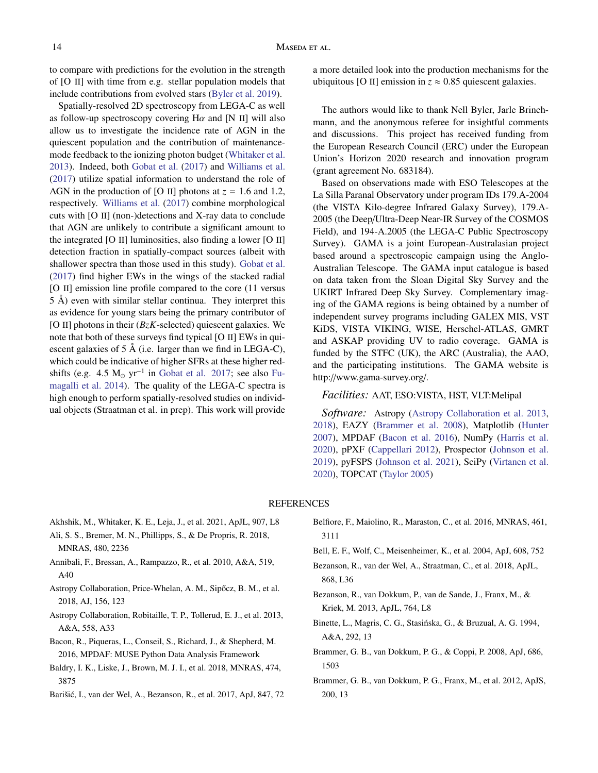to compare with predictions for the evolution in the strength of [O II] with time from e.g. stellar population models that include contributions from evolved stars [\(Byler et al.](#page-14-60) [2019\)](#page-14-60).

Spatially-resolved 2D spectroscopy from LEGA-C as well as follow-up spectroscopy covering  $H\alpha$  and [N II] will also allow us to investigate the incidence rate of AGN in the quiescent population and the contribution of maintenancemode feedback to the ionizing photon budget [\(Whitaker et al.](#page-15-12) [2013\)](#page-15-12). Indeed, both [Gobat et al.](#page-14-25) [\(2017\)](#page-14-25) and [Williams et al.](#page-15-6) [\(2017\)](#page-15-6) utilize spatial information to understand the role of AGN in the production of [O II] photons at  $z = 1.6$  and 1.2, respectively. [Williams et al.](#page-15-6) [\(2017\)](#page-15-6) combine morphological cuts with [O II] (non-)detections and X-ray data to conclude that AGN are unlikely to contribute a significant amount to the integrated [O II] luminosities, also finding a lower [O II] detection fraction in spatially-compact sources (albeit with shallower spectra than those used in this study). [Gobat et al.](#page-14-25) [\(2017\)](#page-14-25) find higher EWs in the wings of the stacked radial [O II] emission line profile compared to the core (11 versus 5 Å) even with similar stellar continua. They interpret this as evidence for young stars being the primary contributor of [O II] photons in their  $(BzK$ -selected) quiescent galaxies. We note that both of these surveys find typical [O II] EWs in quiescent galaxies of 5 Å (i.e. larger than we find in LEGA-C), which could be indicative of higher SFRs at these higher redshifts (e.g. 4.5  $M_{\odot}$  yr<sup>-1</sup> in [Gobat et al.](#page-14-25) [2017;](#page-14-25) see also [Fu](#page-14-45)[magalli et al.](#page-14-45) [2014\)](#page-14-45). The quality of the LEGA-C spectra is high enough to perform spatially-resolved studies on individual objects (Straatman et al. in prep). This work will provide

a more detailed look into the production mechanisms for the ubiquitous [O II] emission in  $z \approx 0.85$  quiescent galaxies.

The authors would like to thank Nell Byler, Jarle Brinchmann, and the anonymous referee for insightful comments and discussions. This project has received funding from the European Research Council (ERC) under the European Union's Horizon 2020 research and innovation program (grant agreement No. 683184).

Based on observations made with ESO Telescopes at the La Silla Paranal Observatory under program IDs 179.A-2004 (the VISTA Kilo-degree Infrared Galaxy Survey), 179.A-2005 (the Deep/Ultra-Deep Near-IR Survey of the COSMOS Field), and 194-A.2005 (the LEGA-C Public Spectroscopy Survey). GAMA is a joint European-Australasian project based around a spectroscopic campaign using the Anglo-Australian Telescope. The GAMA input catalogue is based on data taken from the Sloan Digital Sky Survey and the UKIRT Infrared Deep Sky Survey. Complementary imaging of the GAMA regions is being obtained by a number of independent survey programs including GALEX MIS, VST KiDS, VISTA VIKING, WISE, Herschel-ATLAS, GMRT and ASKAP providing UV to radio coverage. GAMA is funded by the STFC (UK), the ARC (Australia), the AAO, and the participating institutions. The GAMA website is http://www.gama-survey.org/.

## *Facilities:* AAT, ESO:VISTA, HST, VLT:Melipal

*Software:* Astropy [\(Astropy Collaboration et al.](#page-13-12) [2013,](#page-13-12) [2018\)](#page-13-13), EAZY [\(Brammer et al.](#page-13-8) [2008\)](#page-13-8), Matplotlib [\(Hunter](#page-14-61) [2007\)](#page-14-61), MPDAF [\(Bacon et al.](#page-13-14) [2016\)](#page-13-14), NumPy [\(Harris et al.](#page-14-62) [2020\)](#page-14-62), pPXF [\(Cappellari](#page-14-36) [2012\)](#page-14-36), Prospector [\(Johnson et al.](#page-14-34) [2019\)](#page-14-34), pyFSPS [\(Johnson et al.](#page-14-63) [2021\)](#page-14-63), SciPy [\(Virtanen et al.](#page-15-26) [2020\)](#page-15-26), TOPCAT [\(Taylor](#page-15-27) [2005\)](#page-15-27)

## **REFERENCES**

- <span id="page-13-2"></span>Akhshik, M., Whitaker, K. E., Leja, J., et al. 2021, ApJL, 907, L8
- <span id="page-13-4"></span>Ali, S. S., Bremer, M. N., Phillipps, S., & De Propris, R. 2018, MNRAS, 480, 2236
- <span id="page-13-0"></span>Annibali, F., Bressan, A., Rampazzo, R., et al. 2010, A&A, 519, A40
- <span id="page-13-13"></span>Astropy Collaboration, Price-Whelan, A. M., Sipőcz, B. M., et al. 2018, AJ, 156, 123
- <span id="page-13-12"></span>Astropy Collaboration, Robitaille, T. P., Tollerud, E. J., et al. 2013, A&A, 558, A33
- <span id="page-13-14"></span>Bacon, R., Piqueras, L., Conseil, S., Richard, J., & Shepherd, M. 2016, MPDAF: MUSE Python Data Analysis Framework
- <span id="page-13-11"></span>Baldry, I. K., Liske, J., Brown, M. J. I., et al. 2018, MNRAS, 474, 3875
- <span id="page-13-7"></span>Barišić, I., van der Wel, A., Bezanson, R., et al. 2017, ApJ, 847, 72
- <span id="page-13-1"></span>Belfiore, F., Maiolino, R., Maraston, C., et al. 2016, MNRAS, 461, 3111
- <span id="page-13-6"></span>Bell, E. F., Wolf, C., Meisenheimer, K., et al. 2004, ApJ, 608, 752
- <span id="page-13-9"></span>Bezanson, R., van der Wel, A., Straatman, C., et al. 2018, ApJL, 868, L36
- <span id="page-13-5"></span>Bezanson, R., van Dokkum, P., van de Sande, J., Franx, M., & Kriek, M. 2013, ApJL, 764, L8
- <span id="page-13-3"></span>Binette, L., Magris, C. G., Stasińska, G., & Bruzual, A. G. 1994, A&A, 292, 13
- <span id="page-13-8"></span>Brammer, G. B., van Dokkum, P. G., & Coppi, P. 2008, ApJ, 686, 1503
- <span id="page-13-10"></span>Brammer, G. B., van Dokkum, P. G., Franx, M., et al. 2012, ApJS, 200, 13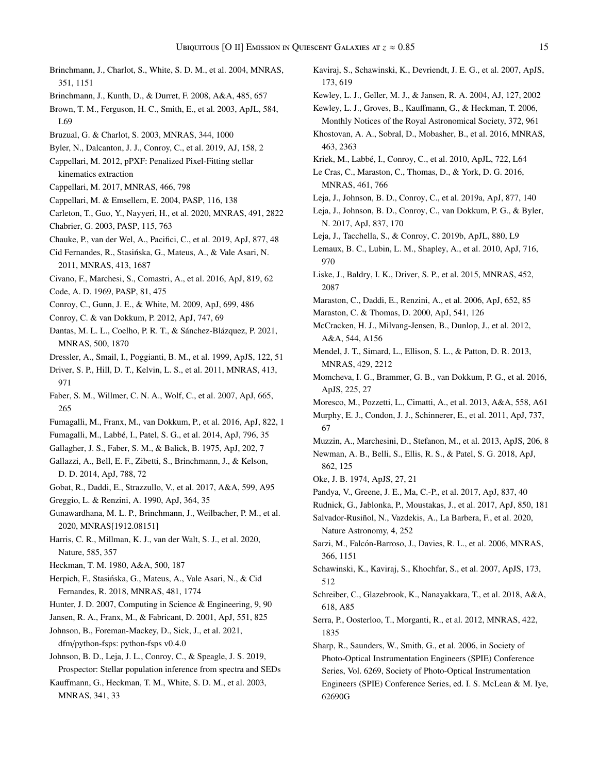- 173, 619 Kewley, L. J., Groves, B., Kauffmann, G., & Heckman, T. 2006, 463, 2363 MNRAS, 461, 766 N. 2017, ApJ, 837, 170 970 2087 Maraston, C. & Thomas, D. 2000, ApJ, 541, 126 A&A, 544, A156 MNRAS, 429, 2212 ApJS, 225, 27 67 862, 125 Oke, J. B. 1974, ApJS, 27, 21 Nature Astronomy, 4, 252 366, 1151 512 618, A85 1835
- <span id="page-14-38"></span>Brinchmann, J., Charlot, S., White, S. D. M., et al. 2004, MNRAS, 351, 1151
- <span id="page-14-40"></span>Brinchmann, J., Kunth, D., & Durret, F. 2008, A&A, 485, 657
- <span id="page-14-22"></span>Brown, T. M., Ferguson, H. C., Smith, E., et al. 2003, ApJL, 584, L69
- <span id="page-14-49"></span>Bruzual, G. & Charlot, S. 2003, MNRAS, 344, 1000
- <span id="page-14-60"></span>Byler, N., Dalcanton, J. J., Conroy, C., et al. 2019, AJ, 158, 2
- <span id="page-14-36"></span>Cappellari, M. 2012, pPXF: Penalized Pixel-Fitting stellar kinematics extraction
- <span id="page-14-37"></span>Cappellari, M. 2017, MNRAS, 466, 798
- <span id="page-14-35"></span>Cappellari, M. & Emsellem, E. 2004, PASP, 116, 138
- <span id="page-14-43"></span>Carleton, T., Guo, Y., Nayyeri, H., et al. 2020, MNRAS, 491, 2822
- <span id="page-14-29"></span><span id="page-14-5"></span>Chabrier, G. 2003, PASP, 115, 763
- Chauke, P., van der Wel, A., Pacifici, C., et al. 2019, ApJ, 877, 48
- <span id="page-14-10"></span>Cid Fernandes, R., Stasińska, G., Mateus, A., & Vale Asari, N. 2011, MNRAS, 413, 1687
- <span id="page-14-30"></span>Civano, F., Marchesi, S., Comastri, A., et al. 2016, ApJ, 819, 62
- <span id="page-14-4"></span>Code, A. D. 1969, PASP, 81, 475
- <span id="page-14-47"></span>Conroy, C., Gunn, J. E., & White, M. 2009, ApJ, 699, 486
- <span id="page-14-48"></span>Conroy, C. & van Dokkum, P. 2012, ApJ, 747, 69
- <span id="page-14-15"></span>Dantas, M. L. L., Coelho, P. R. T., & Sánchez-Blázquez, P. 2021, MNRAS, 500, 1870
- <span id="page-14-18"></span>Dressler, A., Smail, I., Poggianti, B. M., et al. 1999, ApJS, 122, 51
- <span id="page-14-50"></span>Driver, S. P., Hill, D. T., Kelvin, L. S., et al. 2011, MNRAS, 413, 971
- <span id="page-14-27"></span>Faber, S. M., Willmer, C. N. A., Wolf, C., et al. 2007, ApJ, 665, 265
- <span id="page-14-42"></span>Fumagalli, M., Franx, M., van Dokkum, P., et al. 2016, ApJ, 822, 1
- <span id="page-14-45"></span>Fumagalli, M., Labbé, I., Patel, S. G., et al. 2014, ApJ, 796, 35
- <span id="page-14-0"></span>Gallagher, J. S., Faber, S. M., & Balick, B. 1975, ApJ, 202, 7
- <span id="page-14-13"></span>Gallazzi, A., Bell, E. F., Zibetti, S., Brinchmann, J., & Kelson, D. D. 2014, ApJ, 788, 72
- <span id="page-14-25"></span>Gobat, R., Daddi, E., Strazzullo, V., et al. 2017, A&A, 599, A95
- <span id="page-14-9"></span>Greggio, L. & Renzini, A. 1990, ApJ, 364, 35
- <span id="page-14-39"></span>Gunawardhana, M. L. P., Brinchmann, J., Weilbacher, P. M., et al. 2020, MNRAS[1912.08151]

<span id="page-14-62"></span>Harris, C. R., Millman, K. J., van der Walt, S. J., et al. 2020, Nature, 585, 357

- <span id="page-14-1"></span>Heckman, T. M. 1980, A&A, 500, 187
- <span id="page-14-17"></span>Herpich, F., Stasińska, G., Mateus, A., Vale Asari, N., & Cid Fernandes, R. 2018, MNRAS, 481, 1774
- <span id="page-14-61"></span>Hunter, J. D. 2007, Computing in Science & Engineering, 9, 90
- <span id="page-14-54"></span>Jansen, R. A., Franx, M., & Fabricant, D. 2001, ApJ, 551, 825
- <span id="page-14-63"></span>Johnson, B., Foreman-Mackey, D., Sick, J., et al. 2021, dfm/python-fsps: python-fsps v0.4.0
- <span id="page-14-34"></span>Johnson, B. D., Leja, J. L., Conroy, C., & Speagle, J. S. 2019, Prospector: Stellar population inference from spectra and SEDs
- <span id="page-14-46"></span>Kauffmann, G., Heckman, T. M., White, S. D. M., et al. 2003, MNRAS, 341, 33
- <span id="page-14-7"></span>Kaviraj, S., Schawinski, K., Devriendt, J. E. G., et al. 2007, ApJS,
- <span id="page-14-58"></span><span id="page-14-55"></span>Kewley, L. J., Geller, M. J., & Jansen, R. A. 2004, AJ, 127, 2002
- Monthly Notices of the Royal Astronomical Society, 372, 961
- <span id="page-14-26"></span>Khostovan, A. A., Sobral, D., Mobasher, B., et al. 2016, MNRAS,
- <span id="page-14-12"></span>Kriek, M., Labbé, I., Conroy, C., et al. 2010, ApJL, 722, L64
- <span id="page-14-14"></span>Le Cras, C., Maraston, C., Thomas, D., & York, D. G. 2016,
- <span id="page-14-56"></span>Leja, J., Johnson, B. D., Conroy, C., et al. 2019a, ApJ, 877, 140
- <span id="page-14-33"></span>Leja, J., Johnson, B. D., Conroy, C., van Dokkum, P. G., & Byler,
- <span id="page-14-44"></span>Leja, J., Tacchella, S., & Conroy, C. 2019b, ApJL, 880, L9
- <span id="page-14-19"></span>Lemaux, B. C., Lubin, L. M., Shapley, A., et al. 2010, ApJ, 716,
- <span id="page-14-51"></span>Liske, J., Baldry, I. K., Driver, S. P., et al. 2015, MNRAS, 452,
- <span id="page-14-16"></span><span id="page-14-11"></span>Maraston, C., Daddi, E., Renzini, A., et al. 2006, ApJ, 652, 85
- 
- <span id="page-14-31"></span>McCracken, H. J., Milvang-Jensen, B., Dunlop, J., et al. 2012,
- <span id="page-14-57"></span>Mendel, J. T., Simard, L., Ellison, S. L., & Patton, D. R. 2013,
- <span id="page-14-41"></span>Momcheva, I. G., Brammer, G. B., van Dokkum, P. G., et al. 2016,
- <span id="page-14-21"></span>Moresco, M., Pozzetti, L., Cimatti, A., et al. 2013, A&A, 558, A61
- <span id="page-14-59"></span>Murphy, E. J., Condon, J. J., Schinnerer, E., et al. 2011, ApJ, 737,
- <span id="page-14-32"></span>Muzzin, A., Marchesini, D., Stefanon, M., et al. 2013, ApJS, 206, 8
- <span id="page-14-23"></span>Newman, A. B., Belli, S., Ellis, R. S., & Patel, S. G. 2018, ApJ,
- <span id="page-14-53"></span><span id="page-14-28"></span>Pandya, V., Greene, J. E., Ma, C.-P., et al. 2017, ApJ, 837, 40
- <span id="page-14-20"></span>Rudnick, G., Jablonka, P., Moustakas, J., et al. 2017, ApJ, 850, 181
- <span id="page-14-8"></span>Salvador-Rusiñol, N., Vazdekis, A., La Barbera, F., et al. 2020,
- <span id="page-14-2"></span>Sarzi, M., Falcón-Barroso, J., Davies, R. L., et al. 2006, MNRAS,
- <span id="page-14-6"></span>Schawinski, K., Kaviraj, S., Khochfar, S., et al. 2007, ApJS, 173,
- <span id="page-14-24"></span>Schreiber, C., Glazebrook, K., Nanayakkara, T., et al. 2018, A&A,
- <span id="page-14-3"></span>Serra, P., Oosterloo, T., Morganti, R., et al. 2012, MNRAS, 422,
- <span id="page-14-52"></span>Sharp, R., Saunders, W., Smith, G., et al. 2006, in Society of Photo-Optical Instrumentation Engineers (SPIE) Conference Series, Vol. 6269, Society of Photo-Optical Instrumentation Engineers (SPIE) Conference Series, ed. I. S. McLean & M. Iye, 62690G